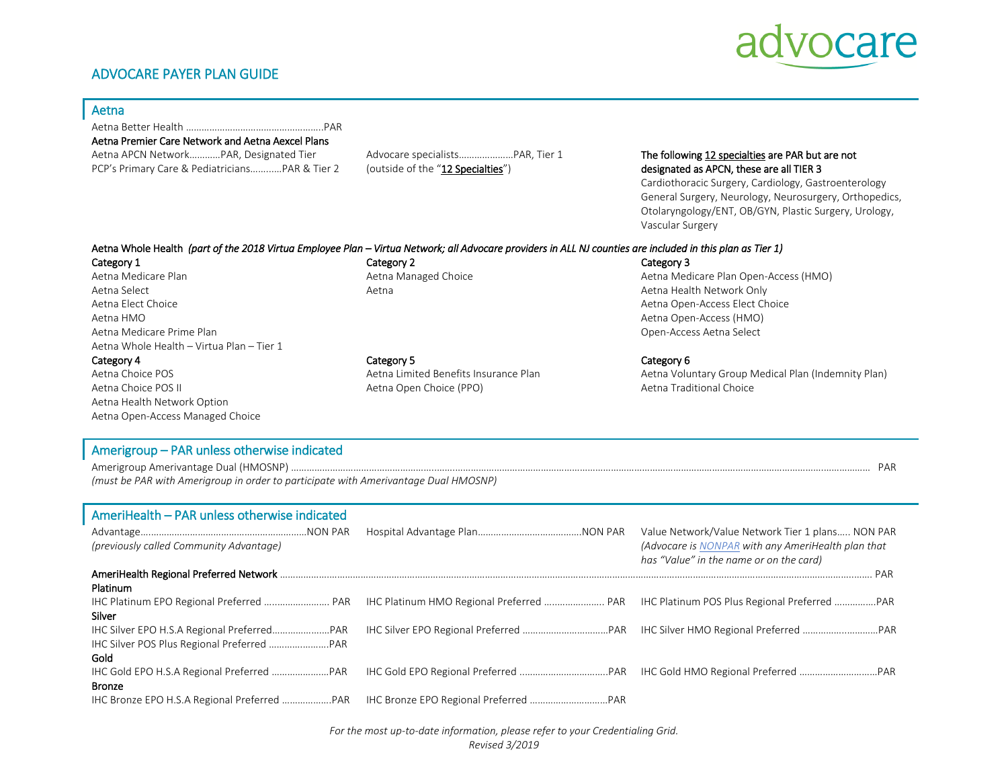## ADVOCARE PAYER PLAN GUIDE



|   | ۳  |          |
|---|----|----------|
| × | ۰, | ۰.<br>۰, |

| Aetna Premier Care Network and Aetna Aexcel Plans                                                                                                          |                                       |                                                                                                                                                                                                                                         |  |
|------------------------------------------------------------------------------------------------------------------------------------------------------------|---------------------------------------|-----------------------------------------------------------------------------------------------------------------------------------------------------------------------------------------------------------------------------------------|--|
| Aetna APCN NetworkPAR, Designated Tier                                                                                                                     | Advocare specialists PAR, Tier 1      | The following 12 specialties are PAR but are not                                                                                                                                                                                        |  |
| PCP's Primary Care & PediatriciansPAR & Tier 2                                                                                                             | (outside of the "12 Specialties")     | designated as APCN, these are all TIER 3<br>Cardiothoracic Surgery, Cardiology, Gastroenterology<br>General Surgery, Neurology, Neurosurgery, Orthopedics,<br>Otolaryngology/ENT, OB/GYN, Plastic Surgery, Urology,<br>Vascular Surgery |  |
| Aetna Whole Health (part of the 2018 Virtua Employee Plan – Virtua Network; all Advocare providers in ALL NJ counties are included in this plan as Tier 1) |                                       |                                                                                                                                                                                                                                         |  |
| Category 1                                                                                                                                                 | Category 2                            | Category 3                                                                                                                                                                                                                              |  |
| Aetna Medicare Plan                                                                                                                                        | Aetna Managed Choice                  | Aetna Medicare Plan Open-Access (HMO)                                                                                                                                                                                                   |  |
| Aetna Select                                                                                                                                               | Aetna                                 | Aetna Health Network Only                                                                                                                                                                                                               |  |
| Aetna Elect Choice                                                                                                                                         |                                       | Aetna Open-Access Elect Choice                                                                                                                                                                                                          |  |
| Aetna HMO                                                                                                                                                  |                                       | Aetna Open-Access (HMO)                                                                                                                                                                                                                 |  |
| Aetna Medicare Prime Plan                                                                                                                                  |                                       | Open-Access Aetna Select                                                                                                                                                                                                                |  |
| Aetna Whole Health - Virtua Plan - Tier 1                                                                                                                  |                                       |                                                                                                                                                                                                                                         |  |
| Category 4                                                                                                                                                 | Category 5                            | Category 6                                                                                                                                                                                                                              |  |
| Aetna Choice POS                                                                                                                                           | Aetna Limited Benefits Insurance Plan | Aetna Voluntary Group Medical Plan (Indemnity Plan)                                                                                                                                                                                     |  |
| Aetna Choice POS II                                                                                                                                        | Aetna Open Choice (PPO)               | Aetna Traditional Choice                                                                                                                                                                                                                |  |
| Aetna Health Network Option                                                                                                                                |                                       |                                                                                                                                                                                                                                         |  |
| Aetna Open-Access Managed Choice                                                                                                                           |                                       |                                                                                                                                                                                                                                         |  |
|                                                                                                                                                            |                                       |                                                                                                                                                                                                                                         |  |
| the common contract that the common contract of the common contract of the common contract of the common common                                            |                                       |                                                                                                                                                                                                                                         |  |

#### Amerigroup – PAR unless otherwise indicated

Amerigroup Amerivantage Dual (HMOSNP) ………………………………………………..…….…………………………………………………………………………………………………………………………….……………… PAR *(must be PAR with Amerigroup in order to participate with Amerivantage Dual HMOSNP)*

| AmeriHealth - PAR unless otherwise indicated |                                                                                               |
|----------------------------------------------|-----------------------------------------------------------------------------------------------|
|                                              | Value Network/Value Network Tier 1 plans NON PAR                                              |
| (previously called Community Advantage)      | (Advocare is NONPAR with any AmeriHealth plan that<br>has "Value" in the name or on the card) |
|                                              |                                                                                               |
| Platinum                                     |                                                                                               |
| IHC Platinum EPO Regional Preferred  PAR     |                                                                                               |
| Silver                                       |                                                                                               |
|                                              |                                                                                               |
|                                              |                                                                                               |
| Gold                                         |                                                                                               |
|                                              |                                                                                               |
| <b>Bronze</b>                                |                                                                                               |
| IHC Bronze EPO H.S.A Regional Preferred PAR  |                                                                                               |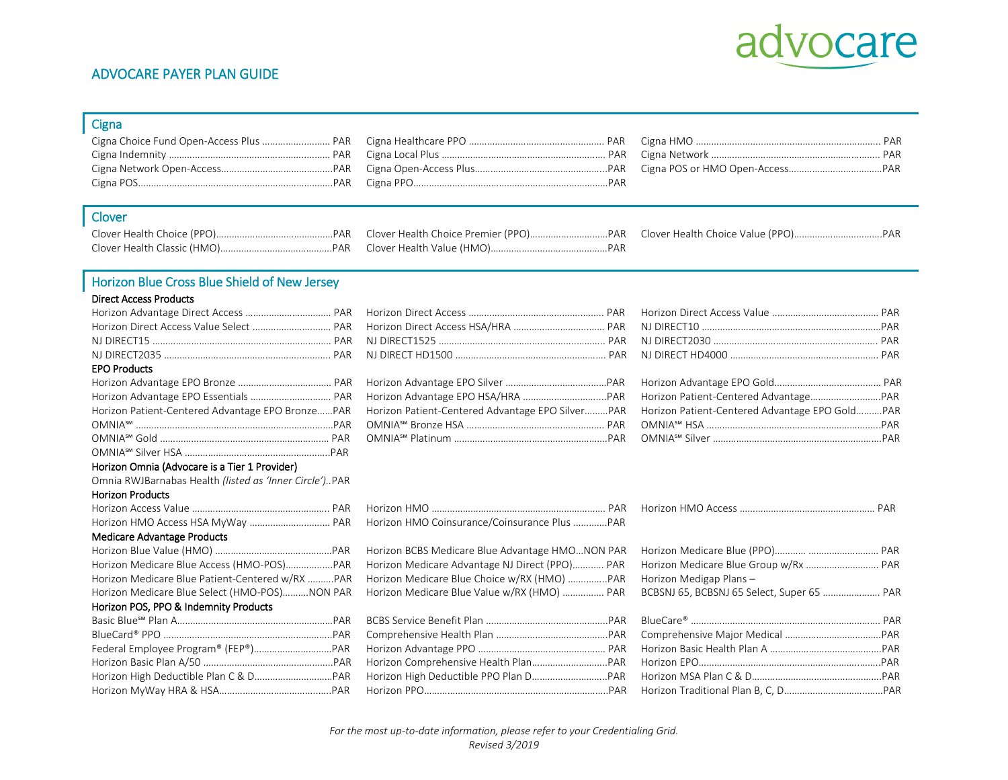

## ADVOCARE PAYER PLAN GUIDE

### **Cigna**

| Cigna POS………………………………………………………………PAR      Cigna PPO…………………………………………………………………PAR |  |
|---------------------------------------------------------------------------------|--|
|                                                                                 |  |

#### Clover

Clover Health Choice (PPO)………………………………………PAR Clover Health Choice Premier (PPO)…………………………PAR Clover Health Choice Value (PPO)…………………………….PAR

# Horizon Blue Cross Blue Shield of New Jersey

#### Direct Access Products

| Horizon Direct Access Value Select  PAR                |                                                  |                                                |
|--------------------------------------------------------|--------------------------------------------------|------------------------------------------------|
|                                                        |                                                  |                                                |
|                                                        |                                                  |                                                |
| <b>EPO Products</b>                                    |                                                  |                                                |
|                                                        |                                                  |                                                |
| Horizon Advantage EPO Essentials  PAR                  |                                                  |                                                |
| Horizon Patient-Centered Advantage EPO BronzePAR       | Horizon Patient-Centered Advantage EPO SilverPAR | Horizon Patient-Centered Advantage EPO GoldPAR |
|                                                        |                                                  |                                                |
|                                                        |                                                  |                                                |
|                                                        |                                                  |                                                |
| Horizon Omnia (Advocare is a Tier 1 Provider)          |                                                  |                                                |
| Omnia RWJBarnabas Health (listed as 'Inner Circle')PAR |                                                  |                                                |
| <b>Horizon Products</b>                                |                                                  |                                                |
|                                                        |                                                  |                                                |
| Horizon HMO Access HSA MyWay  PAR                      | Horizon HMO Coinsurance/Coinsurance Plus PAR     |                                                |
| Medicare Advantage Products                            |                                                  |                                                |
|                                                        | Horizon BCBS Medicare Blue Advantage HMONON PAR  |                                                |
| Horizon Medicare Blue Access (HMO-POS)PAR              | Horizon Medicare Advantage NJ Direct (PPO) PAR   | Horizon Medicare Blue Group w/Rx  PAR          |
| Horizon Medicare Blue Patient-Centered w/RX PAR        | Horizon Medicare Blue Choice w/RX (HMO) PAR      | Horizon Medigap Plans -                        |
| Horizon Medicare Blue Select (HMO-POS)NON PAR          | Horizon Medicare Blue Value w/RX (HMO)  PAR      | BCBSNJ 65, BCBSNJ 65 Select, Super 65  PAR     |
| Horizon POS, PPO & Indemnity Products                  |                                                  |                                                |
|                                                        |                                                  |                                                |
|                                                        |                                                  |                                                |
|                                                        |                                                  |                                                |
|                                                        |                                                  |                                                |
|                                                        |                                                  |                                                |
|                                                        |                                                  |                                                |
|                                                        |                                                  |                                                |